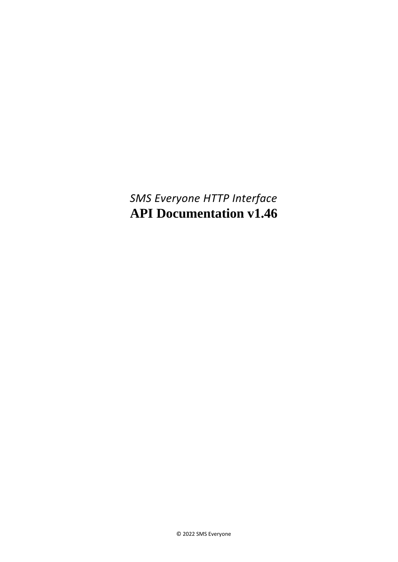<span id="page-0-0"></span>*SMS Everyone HTTP Interface* **API Documentation v1.46**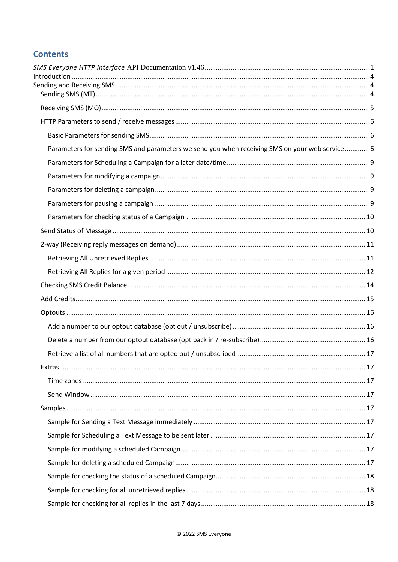# **Contents**

| Parameters for sending SMS and parameters we send you when receiving SMS on your web service  6 |  |
|-------------------------------------------------------------------------------------------------|--|
|                                                                                                 |  |
|                                                                                                 |  |
|                                                                                                 |  |
|                                                                                                 |  |
|                                                                                                 |  |
|                                                                                                 |  |
|                                                                                                 |  |
|                                                                                                 |  |
|                                                                                                 |  |
|                                                                                                 |  |
|                                                                                                 |  |
|                                                                                                 |  |
|                                                                                                 |  |
|                                                                                                 |  |
|                                                                                                 |  |
|                                                                                                 |  |
|                                                                                                 |  |
|                                                                                                 |  |
|                                                                                                 |  |
|                                                                                                 |  |
|                                                                                                 |  |
|                                                                                                 |  |
|                                                                                                 |  |
|                                                                                                 |  |
|                                                                                                 |  |
|                                                                                                 |  |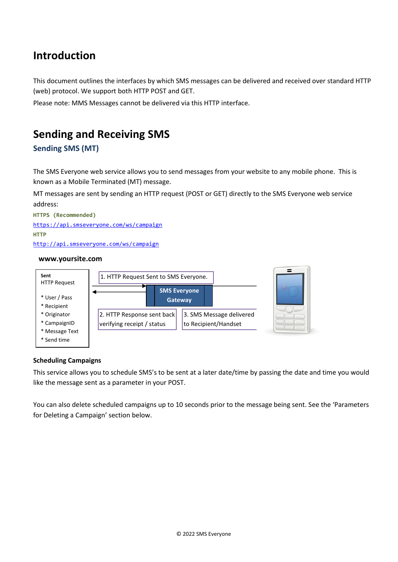# <span id="page-3-0"></span>**Introduction**

This document outlines the interfaces by which SMS messages can be delivered and received over standard HTTP (web) protocol. We support both HTTP POST and GET.

Please note: MMS Messages cannot be delivered via this HTTP interface.

# <span id="page-3-1"></span>**Sending and Receiving SMS**

# <span id="page-3-2"></span>**Sending SMS (MT)**

The SMS Everyone web service allows you to send messages from your website to any mobile phone. This is known as a Mobile Terminated (MT) message.

MT messages are sent by sending an HTTP request (POST or GET) directly to the SMS Everyone web service address:

**HTTPS (Recommended)** <https://api.smseveryone.com/ws/campaign> **HTTP** <http://api.smseveryone.com/ws/campaign>

#### **www.yoursite.com**



#### **Scheduling Campaigns**

This service allows you to schedule SMS's to be sent at a later date/time by passing the date and time you would like the message sent as a parameter in your POST.

You can also delete scheduled campaigns up to 10 seconds prior to the message being sent. See the 'Parameters for Deleting a Campaign' section below.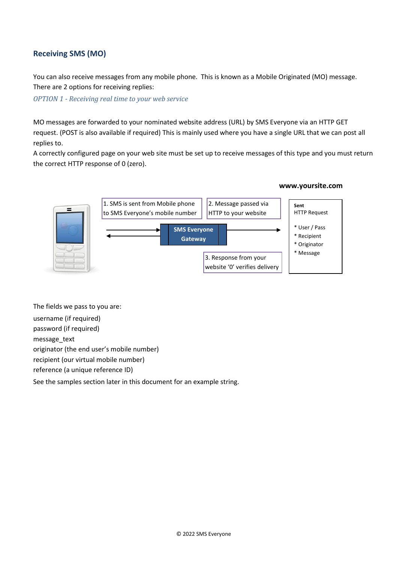# <span id="page-4-0"></span>**Receiving SMS (MO)**

You can also receive messages from any mobile phone. This is known as a Mobile Originated (MO) message. There are 2 options for receiving replies:

*OPTION 1 - Receiving real time to your web service*

MO messages are forwarded to your nominated website address (URL) by SMS Everyone via an HTTP GET request. (POST is also available if required) This is mainly used where you have a single URL that we can post all replies to.

A correctly configured page on your web site must be set up to receive messages of this type and you must return the correct HTTP response of 0 (zero).



The fields we pass to you are:

username (if required)

password (if required)

message\_text

originator (the end user's mobile number)

recipient (our virtual mobile number)

reference (a unique reference ID)

See the samples section later in this document for an example string.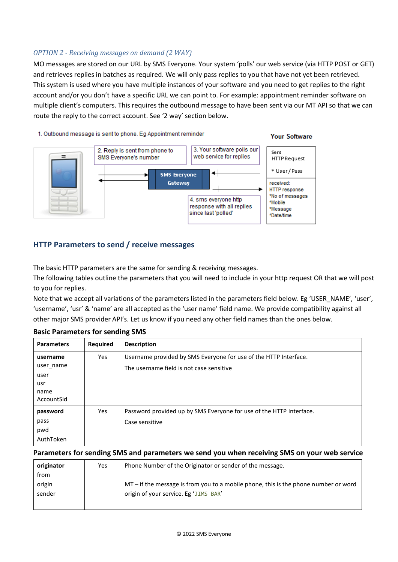## *OPTION 2 - Receiving messages on demand (2 WAY)*

MO messages are stored on our URL by SMS Everyone. Your system 'polls' our web service (via HTTP POST or GET) and retrieves replies in batches as required. We will only pass replies to you that have not yet been retrieved. This system is used where you have multiple instances of your software and you need to get replies to the right account and/or you don't have a specific URL we can point to. For example: appointment reminder software on multiple client's computers. This requires the outbound message to have been sent via our MT API so that we can route the reply to the correct account. See '2 way' section below.

#### 1. Outbound message is sent to phone. Eg Appointment reminder





# <span id="page-5-0"></span>**HTTP Parameters to send / receive messages**

The basic HTTP parameters are the same for sending & receiving messages.

The following tables outline the parameters that you will need to include in your http request OR that we will post to you for replies.

Note that we accept all variations of the parameters listed in the parameters field below. Eg 'USER\_NAME', 'user', 'username', 'usr' & 'name' are all accepted as the 'user name' field name. We provide compatibility against all other major SMS provider API's. Let us know if you need any other field names than the ones below.

| <b>Parameters</b>                                          | <b>Required</b> | <b>Description</b>                                                                                           |
|------------------------------------------------------------|-----------------|--------------------------------------------------------------------------------------------------------------|
| username<br>user name<br>user<br>usr<br>name<br>AccountSid | Yes             | Username provided by SMS Everyone for use of the HTTP Interface.<br>The username field is not case sensitive |
| password<br>pass<br>pwd<br>AuthToken                       | <b>Yes</b>      | Password provided up by SMS Everyone for use of the HTTP Interface.<br>Case sensitive                        |

## <span id="page-5-1"></span>**Basic Parameters for sending SMS**

#### <span id="page-5-2"></span>**Parameters for sending SMS and parameters we send you when receiving SMS on your web service**

| originator | Yes | Phone Number of the Originator or sender of the message.                            |
|------------|-----|-------------------------------------------------------------------------------------|
| trom       |     |                                                                                     |
| origin     |     | MT – if the message is from you to a mobile phone, this is the phone number or word |
| sender     |     | origin of your service. Eg 'JIMS BAR'                                               |
|            |     |                                                                                     |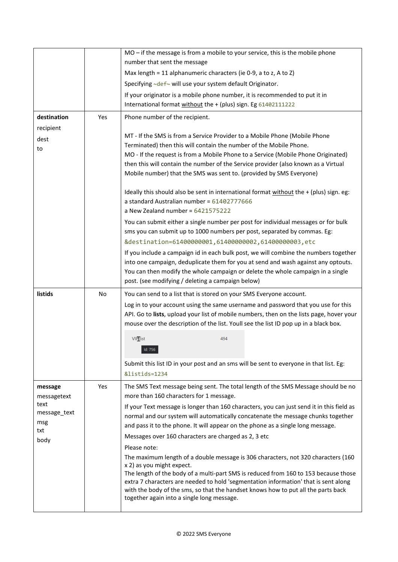|                     |           | MO - if the message is from a mobile to your service, this is the mobile phone                                                                                      |
|---------------------|-----------|---------------------------------------------------------------------------------------------------------------------------------------------------------------------|
|                     |           | number that sent the message                                                                                                                                        |
|                     |           | Max length = 11 alphanumeric characters (ie 0-9, a to z, A to Z)                                                                                                    |
|                     |           | Specifying ~def~ will use your system default Originator.                                                                                                           |
|                     |           | If your originator is a mobile phone number, it is recommended to put it in                                                                                         |
|                     |           | International format without the + (plus) sign. Eg 61402111222                                                                                                      |
| destination         | Yes       | Phone number of the recipient.                                                                                                                                      |
| recipient           |           |                                                                                                                                                                     |
| dest                |           | MT - If the SMS is from a Service Provider to a Mobile Phone (Mobile Phone                                                                                          |
| to                  |           | Terminated) then this will contain the number of the Mobile Phone.                                                                                                  |
|                     |           | MO - If the request is from a Mobile Phone to a Service (Mobile Phone Originated)                                                                                   |
|                     |           | then this will contain the number of the Service provider (also known as a Virtual                                                                                  |
|                     |           | Mobile number) that the SMS was sent to. (provided by SMS Everyone)                                                                                                 |
|                     |           | Ideally this should also be sent in international format without the + (plus) sign. eg:                                                                             |
|                     |           | a standard Australian number = 61402777666                                                                                                                          |
|                     |           | a New Zealand number = $6421575222$                                                                                                                                 |
|                     |           | You can submit either a single number per post for individual messages or for bulk                                                                                  |
|                     |           | sms you can submit up to 1000 numbers per post, separated by commas. Eg:                                                                                            |
|                     |           | &destination=61400000001,61400000002,61400000003,etc                                                                                                                |
|                     |           | If you include a campaign id in each bulk post, we will combine the numbers together                                                                                |
|                     |           | into one campaign, deduplicate them for you at send and wash against any optouts.                                                                                   |
|                     |           | You can then modify the whole campaign or delete the whole campaign in a single                                                                                     |
|                     |           | post. (see modifying / deleting a campaign below)                                                                                                                   |
| listids             | <b>No</b> | You can send to a list that is stored on your SMS Everyone account.                                                                                                 |
|                     |           | Log in to your account using the same username and password that you use for this                                                                                   |
|                     |           |                                                                                                                                                                     |
|                     |           | API. Go to lists, upload your list of mobile numbers, then on the lists page, hover your                                                                            |
|                     |           | mouse over the description of the list. Youll see the list ID pop up in a black box.                                                                                |
|                     |           | <b>VIPlist</b><br>494                                                                                                                                               |
|                     |           | Id: 756                                                                                                                                                             |
|                     |           |                                                                                                                                                                     |
|                     |           | Submit this list ID in your post and an sms will be sent to everyone in that list. Eg:<br>&listids=1234                                                             |
|                     |           |                                                                                                                                                                     |
| message             | Yes       | The SMS Text message being sent. The total length of the SMS Message should be no                                                                                   |
| messagetext<br>text |           | more than 160 characters for 1 message.                                                                                                                             |
| message text        |           | If your Text message is longer than 160 characters, you can just send it in this field as                                                                           |
| msg                 |           | normal and our system will automatically concatenate the message chunks together<br>and pass it to the phone. It will appear on the phone as a single long message. |
| txt                 |           | Messages over 160 characters are charged as 2, 3 etc                                                                                                                |
| body                |           |                                                                                                                                                                     |
|                     |           | Please note:                                                                                                                                                        |
|                     |           | The maximum length of a double message is 306 characters, not 320 characters (160<br>x 2) as you might expect.                                                      |
|                     |           | The length of the body of a multi-part SMS is reduced from 160 to 153 because those                                                                                 |
|                     |           | extra 7 characters are needed to hold 'segmentation information' that is sent along                                                                                 |
|                     |           | with the body of the sms, so that the handset knows how to put all the parts back<br>together again into a single long message.                                     |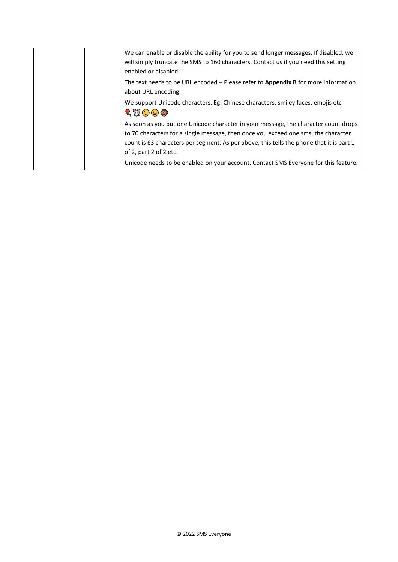|  | We can enable or disable the ability for you to send longer messages. If disabled, we<br>will simply truncate the SMS to 160 characters. Contact us if you need this setting<br>enabled or disabled.                                                                                            |
|--|-------------------------------------------------------------------------------------------------------------------------------------------------------------------------------------------------------------------------------------------------------------------------------------------------|
|  | The text needs to be URL encoded $-$ Please refer to <b>Appendix B</b> for more information<br>about URL encoding.                                                                                                                                                                              |
|  | We support Unicode characters. Eg: Chinese characters, smiley faces, emojis etc<br>$\mathbb{Q} \boxtimes \mathbb{C}$ or                                                                                                                                                                         |
|  | As soon as you put one Unicode character in your message, the character count drops<br>to 70 characters for a single message, then once you exceed one sms, the character<br>count is 63 characters per segment. As per above, this tells the phone that it is part 1<br>of 2, part 2 of 2 etc. |
|  | Unicode needs to be enabled on your account. Contact SMS Everyone for this feature.                                                                                                                                                                                                             |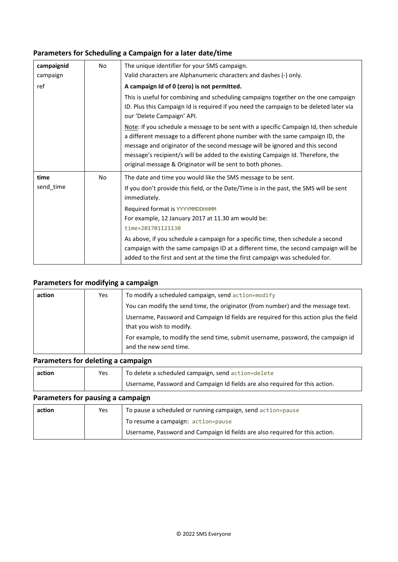# <span id="page-8-0"></span>**Parameters for Scheduling a Campaign for a later date/time**

| campaignid | No | The unique identifier for your SMS campaign.                                                                                                                                                                                                                                                                                                                                                             |
|------------|----|----------------------------------------------------------------------------------------------------------------------------------------------------------------------------------------------------------------------------------------------------------------------------------------------------------------------------------------------------------------------------------------------------------|
| campaign   |    | Valid characters are Alphanumeric characters and dashes (-) only.                                                                                                                                                                                                                                                                                                                                        |
| ref        |    | A campaign Id of 0 (zero) is not permitted.                                                                                                                                                                                                                                                                                                                                                              |
|            |    | This is useful for combining and scheduling campaigns together on the one campaign<br>ID. Plus this Campaign Id is required if you need the campaign to be deleted later via<br>our 'Delete Campaign' API.                                                                                                                                                                                               |
|            |    | Note: If you schedule a message to be sent with a specific Campaign Id, then schedule<br>a different message to a different phone number with the same campaign ID, the<br>message and originator of the second message will be ignored and this second<br>message's recipient/s will be added to the existing Campaign Id. Therefore, the<br>original message & Originator will be sent to both phones. |
| time       | No | The date and time you would like the SMS message to be sent.                                                                                                                                                                                                                                                                                                                                             |
| send_time  |    | If you don't provide this field, or the Date/Time is in the past, the SMS will be sent<br>immediately.                                                                                                                                                                                                                                                                                                   |
|            |    | Required format is YYYYMMDDHHMM                                                                                                                                                                                                                                                                                                                                                                          |
|            |    | For example, 12 January 2017 at 11.30 am would be:                                                                                                                                                                                                                                                                                                                                                       |
|            |    | time=201701121130                                                                                                                                                                                                                                                                                                                                                                                        |
|            |    | As above, if you schedule a campaign for a specific time, then schedule a second<br>campaign with the same campaign ID at a different time, the second campaign will be<br>added to the first and sent at the time the first campaign was scheduled for.                                                                                                                                                 |

# <span id="page-8-1"></span>**Parameters for modifying a campaign**

| action | Yes | To modify a scheduled campaign, send action=modify                                                                |
|--------|-----|-------------------------------------------------------------------------------------------------------------------|
|        |     | You can modify the send time, the originator (from number) and the message text.                                  |
|        |     | Username, Password and Campaign Id fields are required for this action plus the field<br>that you wish to modify. |
|        |     | For example, to modify the send time, submit username, password, the campaign id<br>and the new send time.        |

## <span id="page-8-2"></span>**Parameters for deleting a campaign**

| action | Yes | To delete a scheduled campaign, send action=delete                           |
|--------|-----|------------------------------------------------------------------------------|
|        |     | Username, Password and Campaign Id fields are also required for this action. |

## <span id="page-8-3"></span>**Parameters for pausing a campaign**

| action | Yes | To pause a scheduled or running campaign, send action=pause                  |
|--------|-----|------------------------------------------------------------------------------|
|        |     | To resume a campaign: action=pause                                           |
|        |     | Username, Password and Campaign Id fields are also required for this action. |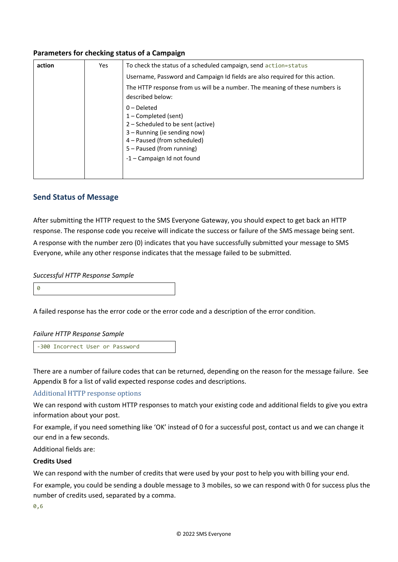## <span id="page-9-0"></span>**Parameters for checking status of a Campaign**

| action | Yes | To check the status of a scheduled campaign, send action=status                                                                                                          |
|--------|-----|--------------------------------------------------------------------------------------------------------------------------------------------------------------------------|
|        |     | Username, Password and Campaign Id fields are also required for this action.                                                                                             |
|        |     | The HTTP response from us will be a number. The meaning of these numbers is<br>described below:                                                                          |
|        |     | $0$ – Deleted<br>$1$ – Completed (sent)<br>2 – Scheduled to be sent (active)<br>3 – Running (ie sending now)<br>4 - Paused (from scheduled)<br>5 – Paused (from running) |
|        |     | -1 – Campaign Id not found                                                                                                                                               |

## <span id="page-9-1"></span>**Send Status of Message**

After submitting the HTTP request to the SMS Everyone Gateway, you should expect to get back an HTTP response. The response code you receive will indicate the success or failure of the SMS message being sent. A response with the number zero (0) indicates that you have successfully submitted your message to SMS Everyone, while any other response indicates that the message failed to be submitted.

#### *Successful HTTP Response Sample*

0

A failed response has the error code or the error code and a description of the error condition.

#### *Failure HTTP Response Sample*

-300 Incorrect User or Password

There are a number of failure codes that can be returned, depending on the reason for the message failure. See Appendix B for a list of valid expected response codes and descriptions.

#### Additional HTTP response options

We can respond with custom HTTP responses to match your existing code and additional fields to give you extra information about your post.

For example, if you need something like 'OK' instead of 0 for a successful post, contact us and we can change it our end in a few seconds.

Additional fields are:

#### **Credits Used**

We can respond with the number of credits that were used by your post to help you with billing your end.

For example, you could be sending a double message to 3 mobiles, so we can respond with 0 for success plus the number of credits used, separated by a comma.

0,6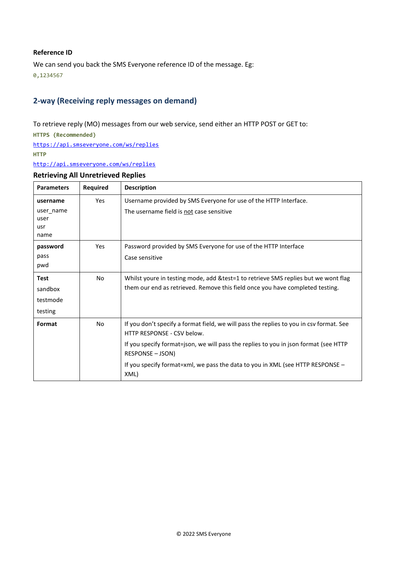#### **Reference ID**

We can send you back the SMS Everyone reference ID of the message. Eg: 0,1234567

# <span id="page-10-0"></span>**2-way (Receiving reply messages on demand)**

To retrieve reply (MO) messages from our web service, send either an HTTP POST or GET to:

**HTTPS (Recommended)**

<https://api.smseveryone.com/ws/replies>

**HTTP**

<http://api.smseveryone.com/ws/replies>

#### <span id="page-10-1"></span>**Retrieving All Unretrieved Replies**

| <b>Parameters</b> | <b>Required</b> | <b>Description</b>                                                                                                    |
|-------------------|-----------------|-----------------------------------------------------------------------------------------------------------------------|
| username          | Yes             | Username provided by SMS Everyone for use of the HTTP Interface.                                                      |
| user name<br>user |                 | The username field is not case sensitive                                                                              |
| usr<br>name       |                 |                                                                                                                       |
| password          | Yes             | Password provided by SMS Everyone for use of the HTTP Interface                                                       |
| pass<br>pwd       |                 | Case sensitive                                                                                                        |
| <b>Test</b>       | No.             | Whilst youre in testing mode, add & test=1 to retrieve SMS replies but we wont flag                                   |
| sandbox           |                 | them our end as retrieved. Remove this field once you have completed testing.                                         |
| testmode          |                 |                                                                                                                       |
| testing           |                 |                                                                                                                       |
| Format            | No              | If you don't specify a format field, we will pass the replies to you in csv format. See<br>HTTP RESPONSE - CSV below. |
|                   |                 | If you specify format=json, we will pass the replies to you in json format (see HTTP<br><b>RESPONSE - JSON)</b>       |
|                   |                 | If you specify format=xml, we pass the data to you in XML (see HTTP RESPONSE -<br>XML)                                |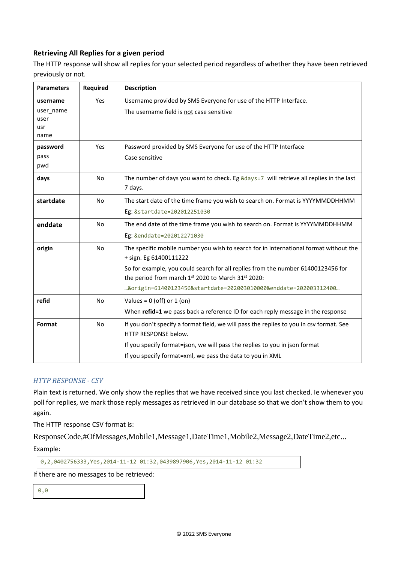# <span id="page-11-0"></span>**Retrieving All Replies for a given period**

The HTTP response will show all replies for your selected period regardless of whether they have been retrieved previously or not.

| <b>Parameters</b>                | <b>Required</b> | <b>Description</b>                                                                                                                     |
|----------------------------------|-----------------|----------------------------------------------------------------------------------------------------------------------------------------|
| username                         | Yes             | Username provided by SMS Everyone for use of the HTTP Interface.                                                                       |
| user_name<br>user<br>usr<br>name |                 | The username field is not case sensitive                                                                                               |
| password                         | Yes             | Password provided by SMS Everyone for use of the HTTP Interface                                                                        |
| pass<br>pwd                      |                 | Case sensitive                                                                                                                         |
| days                             | <b>No</b>       | The number of days you want to check. Eg &days=7 will retrieve all replies in the last<br>7 days.                                      |
| startdate                        | <b>No</b>       | The start date of the time frame you wish to search on. Format is YYYYMMDDHHMM                                                         |
|                                  |                 | Eg: &startdate=202012251030                                                                                                            |
| enddate                          | <b>No</b>       | The end date of the time frame you wish to search on. Format is YYYYMMDDHHMM                                                           |
|                                  |                 | Eg: &enddate=202012271030                                                                                                              |
| origin                           | <b>No</b>       | The specific mobile number you wish to search for in international format without the<br>+ sign. Eg 61400111222                        |
|                                  |                 | So for example, you could search for all replies from the number 61400123456 for<br>the period from march 1st 2020 to March 31st 2020: |
|                                  |                 | &origin=61400123456&startdate=202003010000&enddate=202003312400                                                                        |
| refid                            | No              | Values = $0$ (off) or $1$ (on)                                                                                                         |
|                                  |                 | When refid=1 we pass back a reference ID for each reply message in the response                                                        |
| Format                           | No              | If you don't specify a format field, we will pass the replies to you in csv format. See<br>HTTP RESPONSE below.                        |
|                                  |                 | If you specify format=json, we will pass the replies to you in json format                                                             |
|                                  |                 | If you specify format=xml, we pass the data to you in XML                                                                              |

## *HTTP RESPONSE - CSV*

Plain text is returned. We only show the replies that we have received since you last checked. Ie whenever you poll for replies, we mark those reply messages as retrieved in our database so that we don't show them to you again.

The HTTP response CSV format is:

ResponseCode,#OfMessages,Mobile1,Message1,DateTime1,Mobile2,Message2,DateTime2,etc... Example:

```
0,2,0402756333,Yes,2014-11-12 01:32,0439897906,Yes,2014-11-12 01:32
```
If there are no messages to be retrieved:

0,0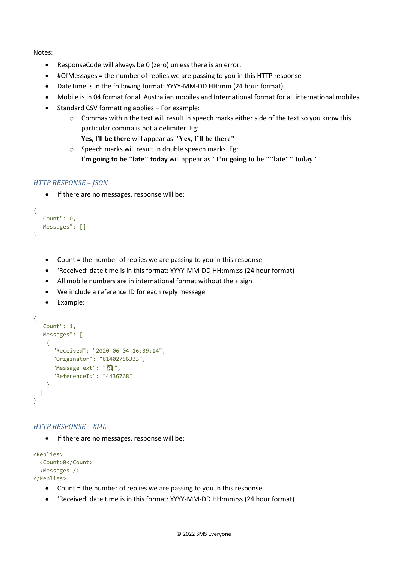Notes:

- ResponseCode will always be 0 (zero) unless there is an error.
- #OfMessages = the number of replies we are passing to you in this HTTP response
- DateTime is in the following format: YYYY-MM-DD HH:mm (24 hour format)
- Mobile is in 04 format for all Australian mobiles and International format for all international mobiles
- Standard CSV formatting applies For example:
	- o Commas within the text will result in speech marks either side of the text so you know this particular comma is not a delimiter. Eg:
		- **Yes, I'll be there** will appear as **"Yes, I'll be there"**
	- o Speech marks will result in double speech marks. Eg:
		- **I'm going to be "late" today** will appear as **"I'm going to be ""late"" today"**

#### *HTTP RESPONSE – JSON*

• If there are no messages, response will be:

```
{
  "Count": 0,
   "Messages": []
}
```
- Count = the number of replies we are passing to you in this response
- 'Received' date time is in this format: YYYY-MM-DD HH:mm:ss (24 hour format)
- All mobile numbers are in international format without the + sign
- We include a reference ID for each reply message
- Example:

```
{
   "Count": 1,
   "Messages": [
     {
       "Received": "2020-06-04 16:39:14",
       "Originator": "61402756333",
      "MessageText": "\sum",
       "ReferenceId": "4436768"
     }
   ]
}
```
#### *HTTP RESPONSE – XML*

• If there are no messages, response will be:

```
<Replies>
   <Count>0</Count>
   <Messages />
</Replies>
```
- Count = the number of replies we are passing to you in this response
- 'Received' date time is in this format: YYYY-MM-DD HH:mm:ss (24 hour format)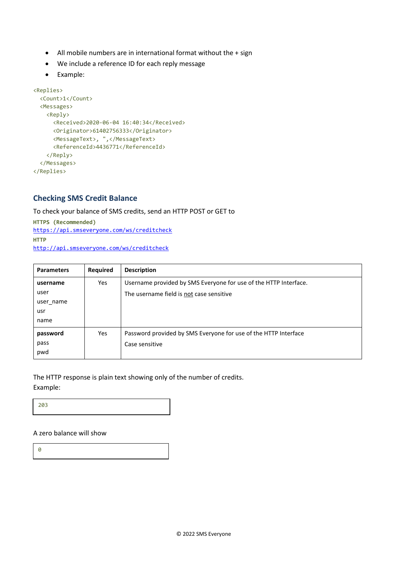- All mobile numbers are in international format without the + sign
- We include a reference ID for each reply message
- Example:

```
<Replies>
   <Count>1</Count>
   <Messages>
    <Reply>
       <Received>2020-06-04 16:40:34</Received>
       <Originator>61402756333</Originator>
      <MessageText>, ",</MessageText>
      <ReferenceId>4436771</ReferenceId>
     </Reply>
   </Messages>
</Replies>
```
# <span id="page-13-0"></span>**Checking SMS Credit Balance**

To check your balance of SMS credits, send an HTTP POST or GET to

**HTTPS (Recommended)** <https://api.smseveryone.com/ws/creditcheck> **HTTP** <http://api.smseveryone.com/ws/creditcheck>

| <b>Parameters</b> | Required | <b>Description</b>                                               |
|-------------------|----------|------------------------------------------------------------------|
| username          | Yes      | Username provided by SMS Everyone for use of the HTTP Interface. |
| user              |          | The username field is not case sensitive                         |
| user name         |          |                                                                  |
| usr               |          |                                                                  |
| name              |          |                                                                  |
| password          | Yes      | Password provided by SMS Everyone for use of the HTTP Interface  |
| pass              |          | Case sensitive                                                   |
| pwd               |          |                                                                  |

The HTTP response is plain text showing only of the number of credits. Example:

203

#### A zero balance will show

0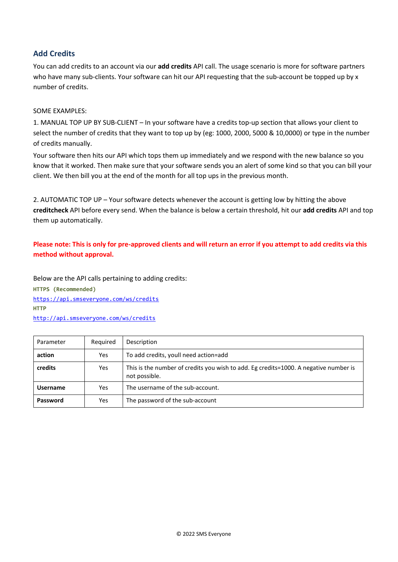# <span id="page-14-0"></span>**Add Credits**

You can add credits to an account via our **add credits** API call. The usage scenario is more for software partners who have many sub-clients. Your software can hit our API requesting that the sub-account be topped up by x number of credits.

#### SOME EXAMPLES:

1. MANUAL TOP UP BY SUB-CLIENT – In your software have a credits top-up section that allows your client to select the number of credits that they want to top up by (eg: 1000, 2000, 5000 & 10,0000) or type in the number of credits manually.

Your software then hits our API which tops them up immediately and we respond with the new balance so you know that it worked. Then make sure that your software sends you an alert of some kind so that you can bill your client. We then bill you at the end of the month for all top ups in the previous month.

2. AUTOMATIC TOP UP – Your software detects whenever the account is getting low by hitting the above **creditcheck** API before every send. When the balance is below a certain threshold, hit our **add credits** API and top them up automatically.

## **Please note: This is only for pre-approved clients and will return an error if you attempt to add credits via this method without approval.**

Below are the API calls pertaining to adding credits: **HTTPS (Recommended)** [https://api.smseveryone.com/ws/c](https://api.smseveryone.com/ws/)redits **HTTP** [http://api.smseveryone.com/ws/c](http://api.smseveryone.com/ws/)redits

| Parameter       | Required   | Description                                                                                           |  |
|-----------------|------------|-------------------------------------------------------------------------------------------------------|--|
| action          | Yes        | To add credits, youll need action=add                                                                 |  |
| credits         | <b>Yes</b> | This is the number of credits you wish to add. Eg credits=1000. A negative number is<br>not possible. |  |
| <b>Username</b> | Yes        | The username of the sub-account.                                                                      |  |
| Password        | Yes        | The password of the sub-account                                                                       |  |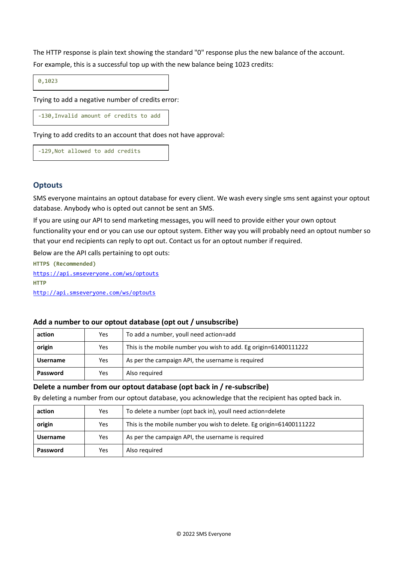The HTTP response is plain text showing the standard "0" response plus the new balance of the account. For example, this is a successful top up with the new balance being 1023 credits:

0,1023

Trying to add a negative number of credits error:

-130,Invalid amount of credits to add

Trying to add credits to an account that does not have approval:

-129,Not allowed to add credits

## <span id="page-15-0"></span>**Optouts**

SMS everyone maintains an optout database for every client. We wash every single sms sent against your optout database. Anybody who is opted out cannot be sent an SMS.

If you are using our API to send marketing messages, you will need to provide either your own optout functionality your end or you can use our optout system. Either way you will probably need an optout number so that your end recipients can reply to opt out. Contact us for an optout number if required.

Below are the API calls pertaining to opt outs:

**HTTPS (Recommended)** [https://api.smseveryone.com/ws/o](https://api.smseveryone.com/ws/)ptouts **HTTP** [http://api.smseveryone.com/ws/o](http://api.smseveryone.com/ws/)ptouts

## <span id="page-15-1"></span>**Add a number to our optout database (opt out / unsubscribe)**

| action          | Yes | To add a number, youll need action=add                           |  |  |
|-----------------|-----|------------------------------------------------------------------|--|--|
| origin          | Yes | This is the mobile number you wish to add. Eg origin=61400111222 |  |  |
| <b>Username</b> | Yes | As per the campaign API, the username is required                |  |  |
| Password        | Yes | Also required                                                    |  |  |

#### <span id="page-15-2"></span>**Delete a number from our optout database (opt back in / re-subscribe)**

By deleting a number from our optout database, you acknowledge that the recipient has opted back in.

| action          | Yes | To delete a number (opt back in), youll need action=delete          |  |  |
|-----------------|-----|---------------------------------------------------------------------|--|--|
| origin          | Yes | This is the mobile number you wish to delete. Eg origin=61400111222 |  |  |
| <b>Username</b> | Yes | As per the campaign API, the username is required                   |  |  |
| Password        | Yes | Also required                                                       |  |  |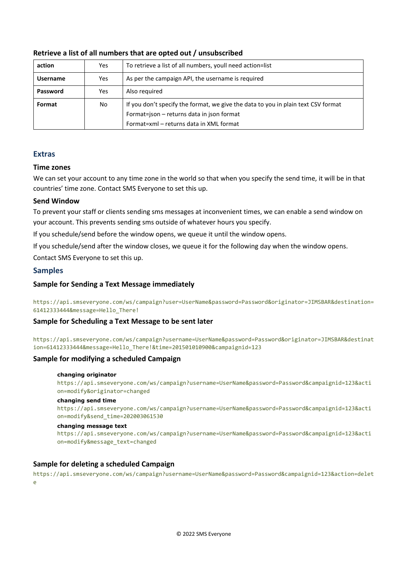| action          | Yes | To retrieve a list of all numbers, youll need action=list                                                                                                                 |  |  |
|-----------------|-----|---------------------------------------------------------------------------------------------------------------------------------------------------------------------------|--|--|
| <b>Username</b> | Yes | As per the campaign API, the username is required                                                                                                                         |  |  |
| Password        | Yes | Also required                                                                                                                                                             |  |  |
| Format          | No  | If you don't specify the format, we give the data to you in plain text CSV format<br>Format=json - returns data in json format<br>Format=xml – returns data in XML format |  |  |

#### <span id="page-16-0"></span>**Retrieve a list of all numbers that are opted out / unsubscribed**

#### <span id="page-16-1"></span>**Extras**

#### <span id="page-16-2"></span>**Time zones**

We can set your account to any time zone in the world so that when you specify the send time, it will be in that countries' time zone. Contact SMS Everyone to set this up.

## <span id="page-16-3"></span>**Send Window**

To prevent your staff or clients sending sms messages at inconvenient times, we can enable a send window on your account. This prevents sending sms outside of whatever hours you specify.

If you schedule/send before the window opens, we queue it until the window opens.

If you schedule/send after the window closes, we queue it for the following day when the window opens.

Contact SMS Everyone to set this up.

## <span id="page-16-4"></span>**Samples**

## <span id="page-16-5"></span>**Sample for Sending a Text Message immediately**

https://api.smseveryone.com/ws/campaign?user=UserName&password=Password&originator=JIMSBAR&destination= 61412333444&message=Hello\_There!

## <span id="page-16-6"></span>**Sample for Scheduling a Text Message to be sent later**

https://api.smseveryone.com/ws/campaign?username=UserName&password=Password&originator=JIMSBAR&destinat ion=61412333444&message=Hello\_There!&time=201501010900&campaignid=123

## <span id="page-16-7"></span>**Sample for modifying a scheduled Campaign**

#### **changing originator**

https://api.smseveryone.com/ws/campaign?username=UserName&password=Password&campaignid=123&acti on=modify&originator=changed

#### **changing send time**

https://api.smseveryone.com/ws/campaign?username=UserName&password=Password&campaignid=123&acti on=modify&send\_time=202003061530

#### **changing message text**

https://api.smseveryone.com/ws/campaign?username=UserName&password=Password&campaignid=123&acti on=modify&message\_text=changed

## <span id="page-16-8"></span>**Sample for deleting a scheduled Campaign**

https://api.smseveryone.com/ws/campaign?username=UserName&password=Password&campaignid=123&action=delet e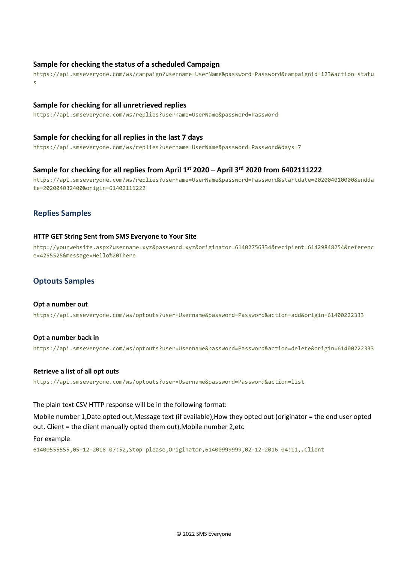#### <span id="page-17-0"></span>**Sample for checking the status of a scheduled Campaign**

https://api.smseveryone.com/ws/campaign?username=UserName&password=Password&campaignid=123&action=statu s

#### <span id="page-17-1"></span>**Sample for checking for all unretrieved replies**

https://api.smseveryone.com/ws/replies?username=UserName&password=Password

#### <span id="page-17-2"></span>**Sample for checking for all replies in the last 7 days**

https://api.smseveryone.com/ws/replies?username=UserName&password=Password&days=7

#### <span id="page-17-3"></span>**Sample for checking for all replies from April 1st 2020 – April 3rd 2020 from 6402111222**

https://api.smseveryone.com/ws/replies?username=UserName&password=Password&startdate=202004010000&endda te=202004032400&origin=61402111222

#### <span id="page-17-4"></span>**Replies Samples**

#### **HTTP GET String Sent from SMS Everyone to Your Site**

http://yourwebsite.aspx?username=xyz&password=xyz&originator=61402756334&recipient=61429848254&referenc e=4255525&message=Hello%20There

## <span id="page-17-5"></span>**Optouts Samples**

#### **Opt a number out**

https://api.smseveryone.com/ws/optouts?user=Username&password=Password&action=add&origin=61400222333

## **Opt a number back in** https://api.smseveryone.com/ws/optouts?user=Username&password=Password&action=delete&origin=61400222333

#### **Retrieve a list of all opt outs**

https://api.smseveryone.com/ws/optouts?user=Username&password=Password&action=list

#### The plain text CSV HTTP response will be in the following format:

Mobile number 1,Date opted out,Message text (if available),How they opted out (originator = the end user opted out, Client = the client manually opted them out),Mobile number 2,etc

#### For example

61400555555,05-12-2018 07:52,Stop please,Originator,61400999999,02-12-2016 04:11,,Client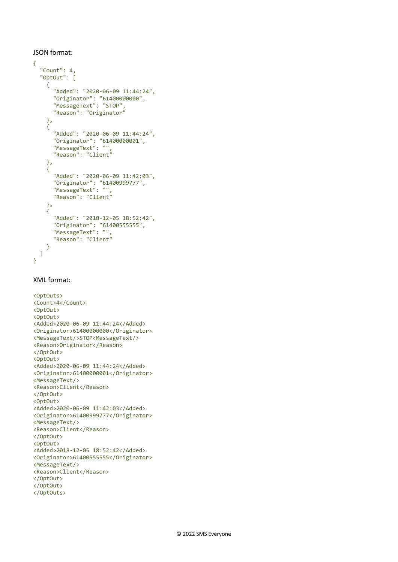#### JSON format:

```
{
   "Count": 4,
   "OptOut": [
     {
       "Added": "2020-06-09 11:44:24",
       "Originator": "61400000000",
       "MessageText": "STOP",
       "Reason": "Originator"
     },
    \overline{\mathcal{E}} "Added": "2020-06-09 11:44:24",
       "Originator": "61400000001",
       "MessageText": "",
       "Reason": "Client"
     },
     {
       "Added": "2020-06-09 11:42:03",
 "Originator": "61400999777",
 "MessageText": "",
       "Reason": "Client"
     },
     {
       "Added": "2018-12-05 18:52:42",
 "Originator": "61400555555",
 "MessageText": "",
 "Reason": "Client"
     }
   ]
}
```
#### XML format:

```
<OptOuts>
<Count>4</Count>
<OptOut>
<OptOut>
<Added>2020-06-09 11:44:24</Added>
<Originator>61400000000</Originator>
<MessageText/>STOP<MessageText/>
<Reason>Originator</Reason>
</OptOut>
<OptOut>
<Added>2020-06-09 11:44:24</Added>
<Originator>61400000001</Originator>
<MessageText/>
<Reason>Client</Reason>
</OptOut>
<OptOut>
<Added>2020-06-09 11:42:03</Added>
<Originator>61400999777</Originator>
<MessageText/>
<Reason>Client</Reason>
</OptOut>
<OptOut>
<Added>2018-12-05 18:52:42</Added>
<Originator>61400555555</Originator>
<MessageText/>
<Reason>Client</Reason>
</OptOut>
</OptOut>
</OptOuts>
```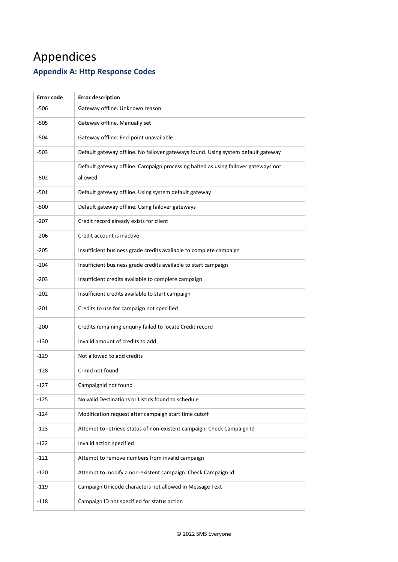# <span id="page-19-0"></span>Appendices **Appendix A: Http Response Codes**

| <b>Error code</b> | <b>Error description</b>                                                           |
|-------------------|------------------------------------------------------------------------------------|
| $-506$            | Gateway offline. Unknown reason                                                    |
| $-505$            | Gateway offline. Manually set                                                      |
| -504              | Gateway offline. End-point unavailable                                             |
| $-503$            | Default gateway offline. No failover gateways found. Using system default gateway  |
|                   | Default gateway offline. Campaign processing halted as using failover gateways not |
| -502              | allowed                                                                            |
| $-501$            | Default gateway offline. Using system default gateway                              |
| $-500$            | Default gateway offline. Using failover gateways                                   |
| $-207$            | Credit record already exists for client                                            |
| $-206$            | Credit account is inactive                                                         |
| $-205$            | Insufficient business grade credits available to complete campaign                 |
| $-204$            | Insufficient business grade credits available to start campaign                    |
| $-203$            | Insufficient credits available to complete campaign                                |
| $-202$            | Insufficient credits available to start campaign                                   |
| $-201$            | Credits to use for campaign not specified                                          |
| $-200$            | Credits remaining enquiry failed to locate Credit record                           |
| $-130$            | Invalid amount of credits to add                                                   |
| $-129$            | Not allowed to add credits                                                         |
| $-128$            | CrmId not found                                                                    |
| $-127$            | CampaignId not found                                                               |
| $-125$            | No valid Destinations or ListIds found to schedule                                 |
| $-124$            | Modification request after campaign start time cutoff                              |
| $-123$            | Attempt to retrieve status of non-existent campaign. Check Campaign Id             |
| $-122$            | Invalid action specified                                                           |
| $-121$            | Attempt to remove numbers from invalid campaign                                    |
| $-120$            | Attempt to modify a non-existent campaign. Check Campaign Id                       |
| $-119$            | Campaign Unicode characters not allowed in Message Text                            |
| $-118$            | Campaign ID not specified for status action                                        |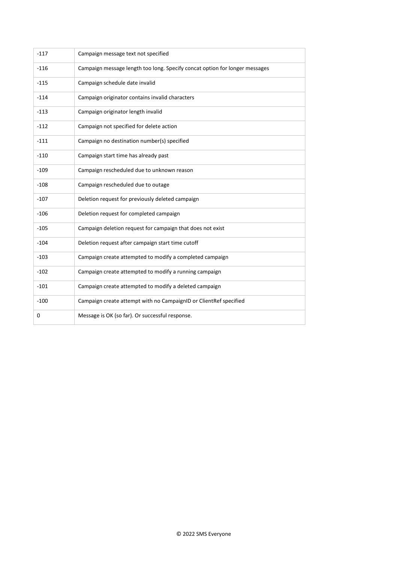| $-117$ | Campaign message text not specified                                         |  |  |
|--------|-----------------------------------------------------------------------------|--|--|
| $-116$ | Campaign message length too long. Specify concat option for longer messages |  |  |
| $-115$ | Campaign schedule date invalid                                              |  |  |
| $-114$ | Campaign originator contains invalid characters                             |  |  |
| $-113$ | Campaign originator length invalid                                          |  |  |
| $-112$ | Campaign not specified for delete action                                    |  |  |
| $-111$ | Campaign no destination number(s) specified                                 |  |  |
| $-110$ | Campaign start time has already past                                        |  |  |
| $-109$ | Campaign rescheduled due to unknown reason                                  |  |  |
| $-108$ | Campaign rescheduled due to outage                                          |  |  |
| $-107$ | Deletion request for previously deleted campaign                            |  |  |
| $-106$ | Deletion request for completed campaign                                     |  |  |
| $-105$ | Campaign deletion request for campaign that does not exist                  |  |  |
| $-104$ | Deletion request after campaign start time cutoff                           |  |  |
| $-103$ | Campaign create attempted to modify a completed campaign                    |  |  |
| $-102$ | Campaign create attempted to modify a running campaign                      |  |  |
| $-101$ | Campaign create attempted to modify a deleted campaign                      |  |  |
| $-100$ | Campaign create attempt with no CampaignID or ClientRef specified           |  |  |
| 0      | Message is OK (so far). Or successful response.                             |  |  |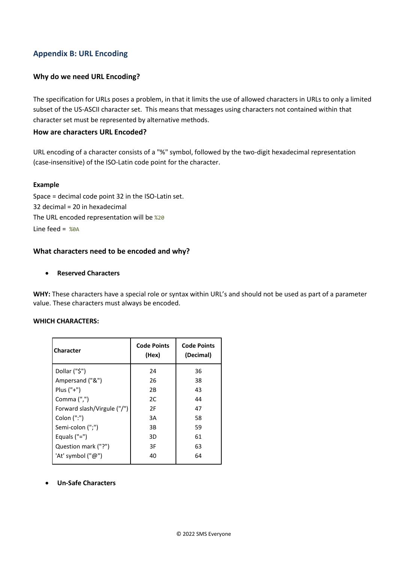## <span id="page-21-0"></span>**Appendix B: URL Encoding**

#### **Why do we need URL Encoding?**

The specification for URLs poses a problem, in that it limits the use of allowed characters in URLs to only a limited subset of the US-ASCII character set. This means that messages using characters not contained within that character set must be represented by alternative methods.

#### <span id="page-21-1"></span>**How are characters URL Encoded?**

URL encoding of a character consists of a "%" symbol, followed by the two-digit hexadecimal representation (case-insensitive) of the ISO-Latin code point for the character.

#### **Example**

Space = decimal code point 32 in the ISO-Latin set. 32 decimal = 20 in hexadecimal The URL encoded representation will be %20 Line feed =  $%aA$ 

## <span id="page-21-2"></span>**What characters need to be encoded and why?**

#### • **Reserved Characters**

**WHY:** These characters have a special role or syntax within URL's and should not be used as part of a parameter value. These characters must always be encoded.

#### **WHICH CHARACTERS:**

| <b>Character</b>            | <b>Code Points</b><br>(Hex) | <b>Code Points</b><br>(Decimal) |
|-----------------------------|-----------------------------|---------------------------------|
| Dollar ("\$")               | 24                          | 36                              |
| Ampersand ("&")             | 26                          | 38                              |
| Plus $("+")$                | 2B                          | 43                              |
| Comma $('',')$              | 2C                          | 44                              |
| Forward slash/Virgule ("/") | 2F                          | 47                              |
| Colon (":")                 | 3A                          | 58                              |
| Semi-colon (";")            | 3B                          | 59                              |
| Equals $("="")$             | 3D                          | 61                              |
| Question mark ("?")         | 3F                          | 63                              |
| 'At' symbol ("@")           | 40                          | 64                              |
|                             |                             |                                 |

• **Un-Safe Characters**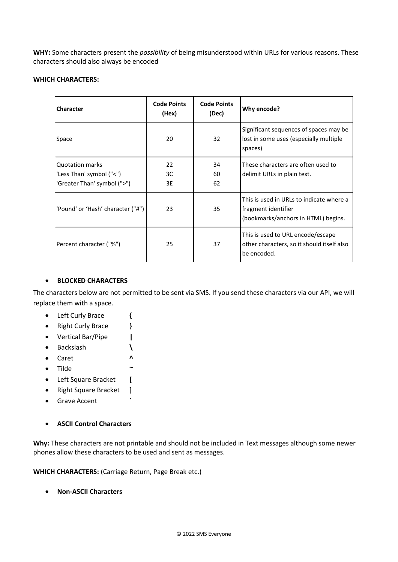**WHY:** Some characters present the *possibility* of being misunderstood within URLs for various reasons. These characters should also always be encoded

#### **WHICH CHARACTERS:**

| <b>Character</b>                                                                  | <b>Code Points</b><br>(Hex) | <b>Code Points</b><br>(Dec) | Why encode?                                                                                            |
|-----------------------------------------------------------------------------------|-----------------------------|-----------------------------|--------------------------------------------------------------------------------------------------------|
| Space                                                                             | 20                          | 32                          | Significant sequences of spaces may be<br>lost in some uses (especially multiple<br>spaces)            |
| <b>Quotation marks</b><br>'Less Than' symbol ("<")<br>'Greater Than' symbol (">") | 22<br>3C<br>3E              | 34<br>60<br>62              | These characters are often used to<br>delimit URLs in plain text.                                      |
| 'Pound' or 'Hash' character ("#")                                                 | 23                          | 35                          | This is used in URLs to indicate where a<br>fragment identifier<br>(bookmarks/anchors in HTML) begins. |
| Percent character ("%")                                                           | 25                          | 37                          | This is used to URL encode/escape<br>other characters, so it should itself also<br>be encoded.         |

#### • **BLOCKED CHARACTERS**

The characters below are not permitted to be sent via SMS. If you send these characters via our API, we will replace them with a space.

- Left Curly Brace **{**
- Right Curly Brace **}**
- Vertical Bar/Pipe **|**
- Backslash **\**
- Caret **^**
- Tilde **~**
- Left Square Bracket **[**
- Right Square Bracket **]**
- Grave Accent **`**
- **ASCII Control Characters**

Why: These characters are not printable and should not be included in Text messages although some newer phones allow these characters to be used and sent as messages.

**WHICH CHARACTERS:** (Carriage Return, Page Break etc.)

• **Non-ASCII Characters**